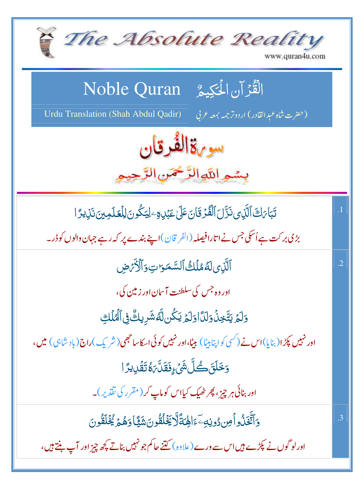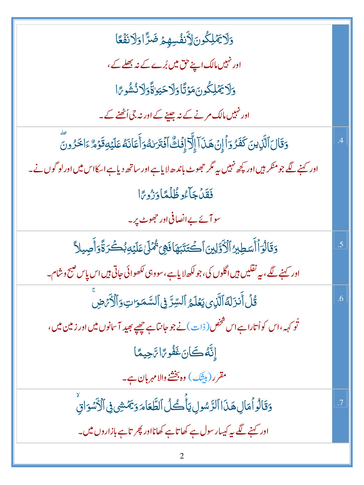| <u>وَلَايَّهۡلِكُونَ</u> ٳلِّنۡفُسِهِيمۡضَرَّاوَلَانَفَقَا                                                    |           |
|---------------------------------------------------------------------------------------------------------------|-----------|
| اور نہیں مالک اپنے حق میں بُرے کے نہ بھلے کے،                                                                 |           |
| <u>وَلاِيِّهُلِكُونَ</u> هَوْتَا وَلَاحَيَوٰقَّوَلَانُشُومَّا                                                 |           |
| اور نہیں مالک مرنے کے نہ جینے کے اور نہ جی اُٹھنے کے۔                                                         |           |
| وَقَالَ ٱلَّذِينَ كَفَرُوَاْ إِنۡ هَذَاۤ إِلَّآ إِفَٰكً ۚ أَفۡتَرَىٰهُوَأَٰعَاٰنَهُ عَلَيۡوَقَوۡمٌ ءَاخَرُونَ |           |
| اور کہنے لگے جو منکر ہیں اور کچھ نہیں ہے مگر حجھوٹ باندھ لایا ہے اور ساتھ دیا ہے اسکااس میں اور لو گوں نے۔    |           |
| فَقَدْ جَاءُوظُلُّمَّا دَرُورًا                                                                               |           |
| سو آئے بے انصافی اور جھوٹ پر۔                                                                                 |           |
| وَقَالُوَأَأَسَطِيرُ ٱلْأَوَّلِينَ ٱكْتَتَبَهَافَهِيَ ثُمَّلَىٰ عَلَيۡهِ بُكُرَةًوَأَصِيلاً                   | .5        |
| اور کہنے لگے، یہ نقلیں ہیں اگلوں کی، جو لکھ لایا ہے،سووہی لکھوائی جاتی ہیں اس پاس صبح وشام۔                   |           |
| <u>ػ۠ڶٲۜٮ۬ڗؘڶۀٱڷۜڹؚؠؾ</u> ؘۼڶ <sub>ٙڞ۠</sub> ٲڵڛۨڗٞڣۣٱڵۺۜڡؘڗؾؚۅؘٲڷٲ <i>ۮٙ؞ۧ</i> ۻؖ                            | .6        |
| ثو کہہ،اس کواُ تاراہےاس تتخص( ذات)نے جو جانتاہے چھپے بھید آسانوں میں اور زمین میں،                            |           |
| إِنَّهُ كَانَ غَفُورًا رَّاجِيمًا                                                                             |           |
| مقرر (بیشک) وہ بخشنے والامہربان ہے۔                                                                           |           |
| دَقَالُواْ مَالِ هَذَا ٱلرَّسُولِ يَأۡصُلُ ٱلطَّعَامَ دَيۡمَشِى فِى ٱلۡأَسۡوَاقِۙ                             | $\cdot$ 7 |
| اور کہنے لگے یہ کیسار سول ہے کھا تاہے کھانااور پھر تاہے بازاروں میں۔                                          |           |
|                                                                                                               |           |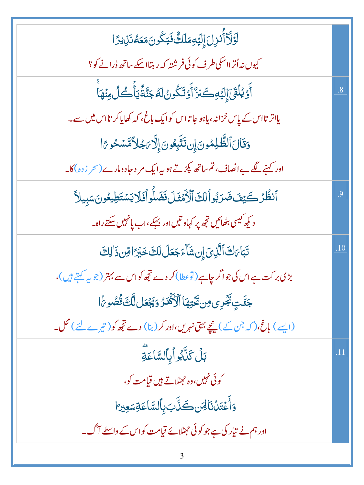| ڶٙۯٙڵؖٲ۠ٮٝڔ۫ڶؘٳ۪ڶؽٙڡؚڡؘڶڬٞ۠ڣؘؾػۢۏڹؘڡؘۼڡ۠ڹؘڸؽۯٙٵ                                           |                 |
|-------------------------------------------------------------------------------------------|-----------------|
| کیوں نہ اُترااسکی طرف کوئی فرشتہ کہ رہتااسکے ساتھ ڈرانے کو؟                               |                 |
| ٲۜۏێؗڶڨٙڕؘٳڸؽٙڢڪؘڒ۠ٲۧۏؘؾؘػۢۏڽ۠ڶڡٞڿؘڹۘٞۊۨ۠ۜێٲ۫ۘڂڵ؈ؘؙؚۿٵۜ                                   | $\overline{.8}$ |
| یااتر تااس کے پاس خزانہ، یاہو جاتااس کوایک باغ، کہ کھایاکر تااس میں سے۔                   |                 |
| وَقَالَ ٱلظَّلِمُونَ إِن تَتَّبِعُونَ إِلَّا يَجْلاَّمَّسَكُو يَّا                        |                 |
| اور کہنے لگے بے انصاف، تم ساتھ پکڑتے ہو یہ ایک مر د حادومارے (سحر زدہ) کا۔                |                 |
| ٱنظُرۡ كَيۡفَ ضَرَبُواۡلَكَٱلۡأَمۡقَلَ فَضَلُّواۡفَلَايَسۡتَطِيعُونَسَبِيلاَ              | .9              |
| د کیھ کیسی بٹھائیں ت <mark>جھ پر کہاو تیں اور بہک</mark> ے،اب پانہیں <del>سکتے</del> راہ۔ |                 |
| تَبَاىَكَ ٱلَّذِيَ إِن شَاءَجَعَلَ لَكَ خَبْرَ اقِن ذَٰ لِكَ                              | .10             |
| بڑی بر کت ہے اس کی جو اگر چاہے (توعطا) کر دے تجھ کواس سے بہتر (جو یہ کہتے ہیں)،           |                 |
| جَنَّتٍ تَجۡرِى مِن تَحۡتِهَا ٱلۡكَٰٓفَـٰرُ وَيَجۡعَل لَّكَ قُصُوىَٰۤا                    |                 |
| (ایسے) باغ،(کہ جن کے) ینچے بہتی نہریں،اور کر (بنا) دے تجھ کو(تیرے لئے) محل۔               |                 |
| بَلۡ كَذَّبُواۡبِٱلسَّاعَةِ                                                               | .11             |
| کوئی نہیں،وہ حصّلاتے ہیں قیامت کو،                                                        |                 |
| وَأَعۡقَدۡنَالِهَن كَنَّابَ بِٱلسَّاعَةِسَعِيرَ ا                                         |                 |
| اور ہم نے تیار کی ہے جو کوئی حجٹلائے قیامت کواس کے واسطے آگ۔                              |                 |

 $\mathfrak{Z}$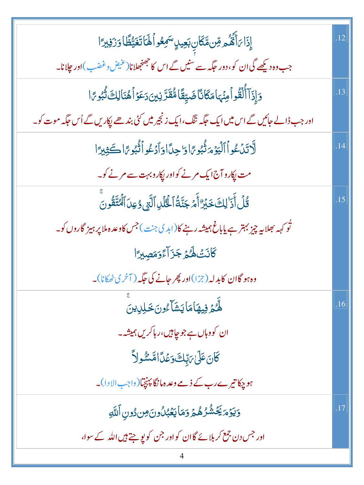| إِذَا بَأَثَمُهُ مِّن مَّكَانِ بَعِيدٍ سَمِعُواً لَهَا تَغَيُّظًا وَزَفِيرًا                                       | .12 |
|--------------------------------------------------------------------------------------------------------------------|-----|
| جب وہ دیکھے گی ان کو، دور حک <sub>مہ سے</sub> ٰسنیں گے اس کا جھنجھلانا(عنیض دغضب)اور جلانا۔                        |     |
| <u>وَإِذَآ</u> ٲ۠ڵؙقُواۡهِنۡهَامَكَانَّاضَيِّقَامُّقَدَّنِينَ دَعَوۡٱهُنَالِكَ ثُّبُو مَّا                         | .13 |
| اور جب ڈالے جائیں گے اس میں ایک جگہ ننگ،ایک زنجیر میں کئی بندھے پکاریں گے اُس جگہ موت کو۔                          |     |
| لَاتَنْ عُواْ ٱلْيَوْمَرَّنُّبُورًا وَ'حِدَّا وَأَدْعُواْ ثُبُورًا كَثِيرًا                                        | .14 |
| مت پکارو آج ایک مرنے کواور پکارو بہت سے مرنے کو۔                                                                   |     |
| قُلۡ أَذَٰ لِكَ خَبۡرٌ أَمۡ جَنَّةُ ٱلۡلَّٰلِ ٱلَّتِىوُعِلَ ٱلۡنَّقُونَ                                            | .15 |
| ٹُو <sub>ک</sub> ہہ بھلا ہہ چیز بہتر ہے یاباغ ہمیشہ رہنے کا(ابد ک <sup>ی جن</sup> )جس کاوعد ہ ملا پر ہیز گاروں کو۔ |     |
| كَانَتْ هُدُجَزَ آءً وَمَصِيرًا                                                                                    |     |
| وہ ہو گاان کابدلہ (جزا)اور پھر جانے کی جگہ (آخری ٹھکانا)۔                                                          |     |
| ل <i>لَّهُمَّ فِ</i> يهَامَايَشَآءُونَ خَلِلِ <i>ينَ</i>                                                           | .16 |
| ان کووہاں ہے جو چاہیں،رہاکریں ہمیشہ۔                                                                               |     |
| ػٙٲڹؘؗٙٙۘٷٙڶ؆ۭڹڷٷٷٲٲۺۺ۠ۅڵٲ                                                                                         |     |
| ہو چکا تیرے رب کے ذمے وعد ہانگا پہنچیا(واجب الا دا)۔                                                               |     |
| وَيَوۡمَيَّخۡشُرُهُمۡ وَمَايَعۡبُلُونَ مِن دُونِ اَللَّهِ                                                          | .17 |
| اور جس دن جمع کربلائے گاان کواور جن کو پوچتے ہیں اللہ کے سوا،                                                      |     |
|                                                                                                                    |     |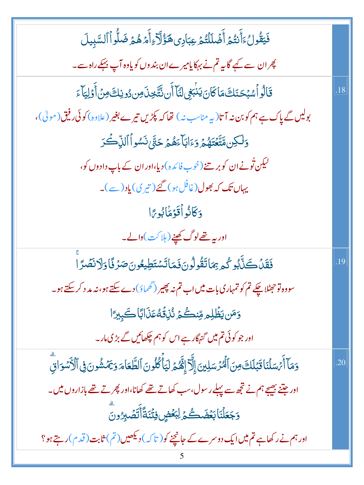| فَيَقُولُ ءَأَنتُمُ أَضۡلَلۡتُمۡ عِبَادِى هَؤُلَآءِأَمۡهُمۡ ضَلُّواۡٱلسَّبِيلَ                                        |     |
|-----------------------------------------------------------------------------------------------------------------------|-----|
| چران سے کہے گا ہہ تم نے بہ <sub>ک</sub> کا یامیرے ان بند وں کو یاوہ آپ بہکے راہ سے۔                                   |     |
| قَالُواْسُبُحَنَكَ مَاكَانَ يَنْبَغِى لَنَآ أَن نُتَّخِذَ مِن دُونِكَ مِنۡ أَوۡلِيَآءَ                                | .18 |
| بولیں گے پاک ہے ہم کو بن نہ آتا(پہ مناسب نہ) تھا کہ پکڑیں تیرے بغیر (علاوہ) کوئی رفیق (مولٰی)،                        |     |
| <u>و</u> ٙڷڮڹ؋ؾ <sub>ۜ</sub> ؾٙۼۿؽ <sub>ۿ</sub> ۄؘٵڹٲۼۿؽ؏ڂڹٞٞ؋ۺۅٲٲڶڹۨۨ؎ؙٙػ                                            |     |
| لیکن تُونے ان کوبر تنے (خوب فائدہ) دیا،اور ان کے باپ دادوں کو،                                                        |     |
| یہاں تک کہ بھول(غافلہو) گئے( تیری) یاد( ہے)۔                                                                          |     |
| وَكَانُواْقَوْمَاْبُورًا                                                                                              |     |
| اور بیہ <u>تھ</u> ےلوگ <u>کھینے(</u> ہلا <sup>ک</sup> ت )والے۔                                                        |     |
| فَقَلْكَلّْبُوكُمرْ بِمَاتَقُولُونَ فَمَاتَسْتَطِيعُونَ صَرْفًا وَلَانَصَّرَا                                         | .19 |
| سووہ تو حجٹلا چکے تم کو تمہاری بات میں اب تم نہ پھیر (گھماؤ) دے سکتے ہو، نہ مد د کر سکتے ہو۔                          |     |
| وَمَن يَظْلِمِ مِّنْكُمُ نُزْقُهُ عَذَابًا كَبِيرًا                                                                   |     |
| اور جو کوئی تم میں <sub>گنہگار</sub> ہے اس کو ہم چکھائیں گے بڑی مار۔                                                  |     |
| وَمَآ أَمۡسَلۡنَاقَبَٰلَكَ مِنَ ٱلۡمُرۡسَلِينَ إِلَّآ إِنَّهُمۡ لَيَأۡكُلُونَ ٱلظَّعَامَ وَيَمۡشُونَ فِى ٱلۡأَسۡوَاقِ | .20 |
| اور جتنے بھیجے ہم نے تجھ سے پہلے رسول،سب کھاتے تھے کھانا،اور پھر تے تھے بازاروں میں۔                                  |     |
| وَجَعَلْنَا بَعُضَكُمُ لِبَعُضٍ فِتَّنَةً أَتَصَٰبِرُونَ                                                              |     |
| اور ہم نے رکھاہے تم میں ایک دوسرے کے جانچنے کو( تاکہ ) دیکھیں(تم) ثابت (قدم) رہتے ہو؟                                 |     |
|                                                                                                                       |     |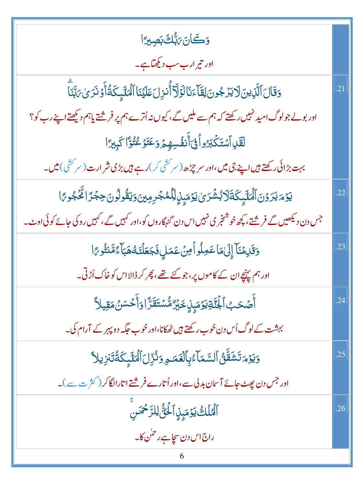| <b>وَكَانَ مَبُّكَ بَصِيرًا</b>                                                                        |     |
|--------------------------------------------------------------------------------------------------------|-----|
| اور تیر ارب سب دیکھتاہے۔                                                                               |     |
| وَقَالَ ٱلَّذِينَ لَا يَرۡجُونَ لِقَآءَنَالَوَلَآ أُنذِلَ عَلَيۡنَا ٱلۡمَلَيۡكَةُ أَوۡ نَرَىٰ رَبَّنَآ | .21 |
| اور بولے جولوگ امید نہیں رکھتے کہ ہم سے ملیں گے ، کیوں نہ اُترے ہم پر فرشتے یاہم دیکھتے اپنے رب کو؟    |     |
| لَقَلِ ٱسۡتَكۡبَرُواۡفِىٓأَنفُسِهِمۡ وَعَتَوۡعُتُوًّا كَبِبِيًّا                                       |     |
| بہت بڑائی رکھتے ہیں اپنے جی میں،اور سر چڑھ (سر کشی کر) رہے ہیں بڑی شر ارت (سر کشی) میں۔                |     |
| ؾۅٛۄؘؾڗۅ۬ڹٱڷؙؠڶڋۑػٙڐؘڷٲڹٛۺ۫ڗؠ۠ؾۄٞۻ۪ۜۯؚۣڵؚڷڡ۠ۻڔڡؚؾۥٙؾۊ۠ۅڷۄڹۜڿۼڗٙٳڴڂڣۄ؆ٳ                                 | .22 |
| جس دن دیکھیں گے فرشتے ، پچھ خوشنجر ی نہیں اس دن گنہگاروں کو،اور کہیں گے ،کہیں روکی جائے کوئی اوٹ۔      |     |
| وَقَلِمُنَآ إِلَىٰهَا عَمِلُواْمِنْ عَمَلٍ فَجَعَلْنَهُ هَبَآءً مَّنثُو مَ                             | .23 |
| اور ہم پہنچےان کے کاموں پر،جو کئے تھے، پھر کر ڈالااس کو خاک اُڑتی۔                                     |     |
| ٲؖڞٙػٮ۪ٱ <del>ڶٜٞڵؘ</del> ؾٙۊؾۯٙڡؘؠؚ۪ڸۣ <b>ڂ</b> ؘڹٞڗ۠ۺ۠ۺۘؾؘڦؘڗؓٳۄٙٲٛڂۺڽ۠ڡٙڦؚۑڵٲ                       | .24 |
| بہشت کے لوگ اُس دن خوب رکھتے ہیں ٹھکانا،اور خوب حگیہ دو پہر کے آرام کی۔                                |     |
| <u>ۅ</u> ؘؽۯٙۄؘڐۺؘڦؖڽ۠ۘٲڵڛؖڡؘٵۧۦ۠ڹؚٱڶۼؘڡۄؚۏٮ۠ڗؚڶٲڷڡڶڸٕػؘۊ۠ؗؾؘڹٳۑڵٳ                                     | .25 |
| اور جس دن پھٹ جائے آسان بدلی سے،اور اُتارے فرشتے اتارالگا کر ( کثر ت سے )۔                             |     |
| ٱلۡعُلۡكَ يَوۡمَىٰۭنِ ٱلۡخُنَّ لِلرَّحۡمَٰنِ                                                           | .26 |
| راج اس دن س <u>چاہ</u> ے رحم <sup>ل</sup> کا۔                                                          |     |
|                                                                                                        |     |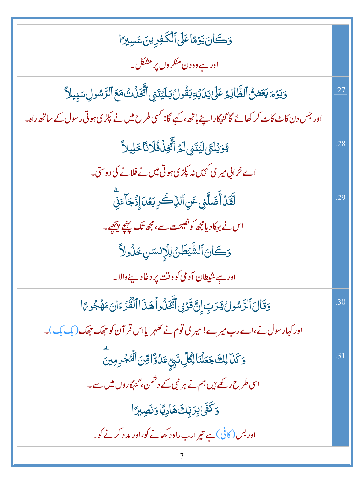| وَكَانَ يَوْمًا عَلَى ٱلْكَفِرِينَ عَسِيرًا                                                                 |     |
|-------------------------------------------------------------------------------------------------------------|-----|
| اور ہے وہ دن منکر وں پر مشکل۔                                                                               |     |
| <u>وَيَوْمَ يَعَضَّ الظَّالِمُ عَلَىٰ يَدَيۡ</u> دِيَقُولُ يَلۡيَتَنِى ٱتَّخَذۡنَتُ مَعَ ٱلرَّسُولِسَبِيلاً | .27 |
| اور جس دن کاٹ کاٹ کر کھائے گا گنہگار اپنے ہاتھ ،کہے گا: کسی طرح میں نے پکڑی ہوتی رسول کے ساتھ راہ۔          |     |
| يَوَيُلَتَىٰ لَيُتَنِى لَمُ أَتَّخِنُ فُلَانَّا خَلِيلاً                                                    | .28 |
| اے خرابی میر ی <i>کہیں نہ</i> کپڑی ہوتی میں نے فلانے کی دوستی۔                                              |     |
| لَّقَدۡ أَضَلَّنِى عَنِ ٱلذِّكَرِ بَعۡدَ إِذۡ جَآءَنِّى                                                     | .29 |
| اس نے بہکاد یامجھ کونصیحت سے،مجھ تک پہنچے پیچھے۔                                                            |     |
| وَكَانَ ٱلشَّيْطَنُ لِلَإِنسَنِ خَنُولاً                                                                    |     |
| اور ہے شیطان آدمی کووقت پر دغاد پنے والا۔                                                                   |     |
| وَقَالَ ٱلرَّسُولُ يَدَتِ إِنَّ قَوْمِى ٱتَّخَذُواْ هَذَا ٱلْقُدَّ ءَانَ مَهۡجُورًا                         | .30 |
| اور کہار سول نے،اے رب میرے! میر کی قوم نے تظہر ایااس قر آن کو حجھک حجھک (بک بک)۔                            |     |
| وَكَذَا لِكَ جَعَلْنَا لِكُلِّ نَ <sub>بِّ</sub> عَلُوَّا قِنَ ٱلْمُجْرِمِينَ                               | .31 |
| اسی طرح رکھے ہیں ہم نے ہر نبی کے دشمن، <sub>گنہ</sub> گاروں میں سے۔                                         |     |
| <u>وَكَفَىٰ بِرَبِّلَےٛ</u> هَادِيَّاوَنَصِب <sub>ُ</sub> رًا                                               |     |
| اور بس (کافی) ہے تیر ارب راہ د کھانے کو،اور مد د کرنے کو۔                                                   |     |
|                                                                                                             |     |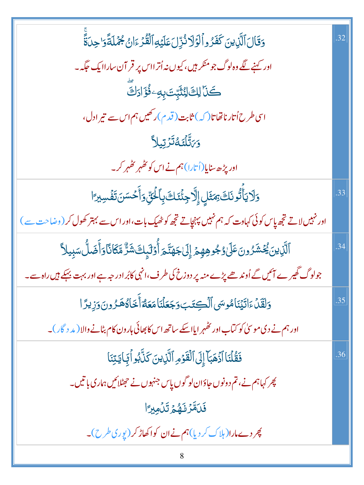| وَقَالَ ٱلَّذِينَ كَفَرُواْلَوۡلَا نُزِّلَ عَلَيۡهِ ٱلۡقُرۡءَانُ جُمۡلَةًوَاحِلَةً                                   | .32 |
|----------------------------------------------------------------------------------------------------------------------|-----|
| اور کہنے لگے وہ لوگ جو منکر ہیں، کیوں نہ اُتر ااس پر قر آن ساراایک حکّہ۔                                             |     |
| كَذَا لِكَ لِنُثَّبِّتَ بِهِ وَفُؤَادَكَ                                                                             |     |
| اسی طرح اُتار ناتھاتا(کہ) ثابت (قدم)ر کھیں ہم اس سے تیر ادل،                                                         |     |
| <b>وَ</b> ىَتَّلۡتَكَتُّرَّتِيلاً                                                                                    |     |
| اور پڑھ سایا(اُتارا) ہم نے اس کو تھٰہر تھُہر کر۔                                                                     |     |
| <u>و</u> َلَا يَأَتُّونَكَ بِمَثَلِ إِلَّا جِئْنَكَ بِٱلْخَنِّ وَأَحْسَنَ تَفُسِيرَ ا                                | .33 |
| اور نہیںلاتے تجھ پاس کوئی کہاوت کہ ہم نہیں پہنچاتے تجھ کو ٹھیک بات،اوراس سے بہتر کھول کر (وضاحت سے )                 |     |
| ٱلَّزِينَ يُحۡشَرُونَۚ عَلَىٰ وُجُوهِهِمۡ إِلَىٰۖ جَهَنَّـٰٓ مَرَأۡ وَٰٓلَٰٓىٕكَ شَرٌّ مَّكَانَّا وَأَضَلُّ سَبِيلاً | .34 |
| جولوگ گھیر ے آئیں گے اُوند ھے پڑے منہ پر دوزخ کی طرف،انہی کابُر ادر جہ ہے اور بہت بہکے ہیں راہ سے۔                   |     |
| وَلَقَلْءَاتَيۡنَامُوسَى ٱلۡكِتَبَوَجَعَلۡنَامَعَهُٓأَخَاهُهَرُونَوَزِيرَ ا                                          | .35 |
| اور ہم نے دی موسیٰ کو کتاب اور تھٰہر ایااسکے ساتھ اس کا بھائی ہارون کام بٹانے والا ( مد د گار )۔                     |     |
| فَقُلْنَا أَذَهَبَآ إِلَى ٱلۡقَوۡمِ ٱلَّٰٓذِينَ كَذَّبُو أَبَجَايَتِنَا                                              | .36 |
| پھر کہاہم نے، تم دونوں جاؤان لو گوں پاس جنہوں نے حہٹلائیں ہماری باتیں۔                                               |     |
| فَلَقَرْنَهُمُ تَلْمِيرًا                                                                                            |     |
| پھر دےمارا(ہلاک کر دیا)ہم نے ان کواکھاڑ کر (یوری طرح)۔                                                               |     |
| 8                                                                                                                    |     |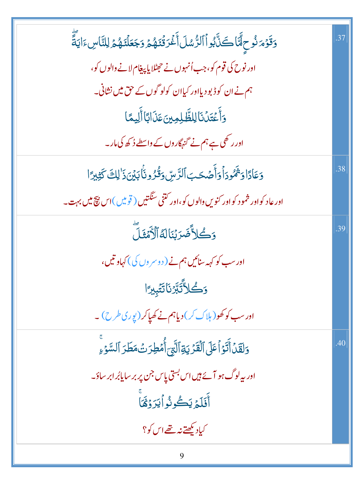| وَقَوْمَ نُوحٍ مَّا كَنَّ بُواْ الرُّسُلَ أَغْرَقْنَهُمْ وَجَعَلْنَهُمْ لِلنَّاسِ ءَايَةً | .37 |
|-------------------------------------------------------------------------------------------|-----|
| اور نوح کی قوم کو، جب اُنہوں نے حیمٹلا پا پیغام لانے والوں کو،                            |     |
| ہم نے ان کوڈ بو دیااور کیاان کولو گوں کے حق میں نشانی۔                                    |     |
| وَأَعۡتَدۡنَالِلظَّلِمِینَعَذَابَاۤ أَلِیمًا                                              |     |
| اور ر کھی ہے ہم نے گنہگاروں کے واسطے ڈ کھ کی مار۔                                         |     |
| وَعَادًا وَثَمُودَاْ وَأَصَْحَبَ ٱلرَّسِ وَقُرُونَا بَيۡنَ ذَٰ لِكَ كَثِيرَا              | .38 |
| اور عاد کواور شمو د کواور کنویں والوں کو،اور کتنی سنگتیں ( قومیں )اس بیچ میں بہت _        |     |
| وَكُلاَّضَرَبْنَالَةُالَّأَهُّفَلَّ                                                       | .39 |
| اور سب کو کہہ سنائیں ہم نے ( دوسر وں کی) کہاو تیں،                                        |     |
| <b>وَكُلاَّتَبَّرُنَاتَتَبِيرًا</b>                                                       |     |
| اور سب کو کھو( ہلاک کر) دیاہم نے کھیاکر (پوری طرح) ۔                                      |     |
| وَلَقَّلۡ أَنَّوۡ أَعَلَى ٱلۡقَرۡ يَةِ ٱلَّتِيَ أُمۡطِرَتۡ مَطَرَ ٱلسَّوۡءِ               | .40 |
| اور پہ لوگ ہو آئے ہیں اس بستی پاس جن پر بر سایابُر ابر ساؤ۔                               |     |
| أَفَلَمُ يَكُونُو أَيَرَ وُقَمَأَ                                                         |     |
| کیاد بکھتے نہ تھے اس کو؟                                                                  |     |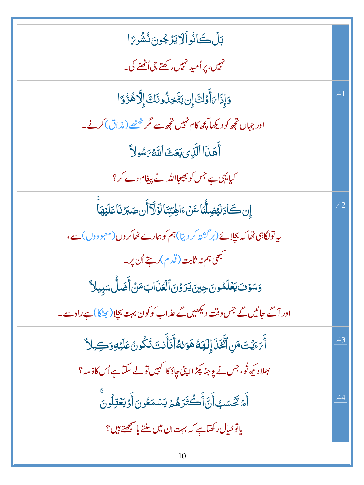| بَلۡ كَانُواۡلَايَرۡ جُونَ نُشُوعًا                                                                            |     |
|----------------------------------------------------------------------------------------------------------------|-----|
| نہیں، پر اُمید نہیں رکھتے جی اُٹھنے کی۔                                                                        |     |
| دَإِذَا ٱوَلَىَ إِن يَتَّخِذُونَكَ إِلَّاهُزُوًا                                                               | .41 |
| اور جہاں تجھ کو دیکھا پچھ کام نہیں تجھ سے مگر ٹھٹھے ( مذاق) کرنے۔                                              |     |
| أَهَذَا ٱلَّذِى بَعَثَ ٱللَّهُ بَسُولاً                                                                        |     |
| کیا یہی ہے جس کو بھیجااللہ نے پیغام دے کر؟                                                                     |     |
| إِن كَادَلَيْضِلُّنَا عَنْءَالِهَتِنَالَوَلَآ أَن صَبَرْنَا عَلَيْهَا                                          | .42 |
| یہ تولگاہی تھا کہ بچلائے(بر گشتہ کر دیتا)ہم کوہمارے ٹھاکروں(معبو دوں)سے،                                       |     |
| م<br>مجھی ہم نہ ثابت ( قدم )رہتے اُن پر ۔                                                                      |     |
| وَسَوْفَ يَعۡلَمُونَ حِينَ يَرَوۡنَ ٱلۡعَذَابَ مَنۡ أَضَلُّ سَبِيلاً                                           |     |
| اور آگے جانیں گے جس وقت دیکھیں گے عذاب کو کون بہت بچلا( رکھنکا) ہے راہ سے۔                                     |     |
| أَىَ يَنَ مَنِ ٱتَّخَذَ إِلَهَهُ هَوَلهُ أَفَأَنتَ تَكُونُ عَلَيْهِ وَكِيلاً                                   | .43 |
| <sup>م</sup> جلاد کی <sub>ھ</sub> ٹو، جس نے یوِ جنا پکڑ ااپنی چاؤ کا <sup>کہ</sup> یں تو لے سکتاہے اُس کا ذمہ؟ |     |
| ؚ<br>ٲؘ <i>ٙؗۮؾٞڂۜ</i> ۺٵؘ۫ڹۜٲؘڂ <del>ؖڎؘ</del> ڗۿؽ؋ؾۺڡؘۼ۠ۏڹٲؘۏؾ <i>ڂ</i> ٙڦؚڵۏڹؘ                              | .44 |
| یاتوخیال رکھتاہے کہ بہت ان میں سنتے یا سمجھتے ہیں؟                                                             |     |
|                                                                                                                |     |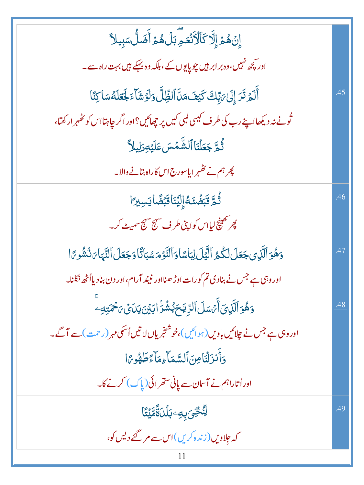| .45 |
|-----|
|     |
|     |
|     |
| .46 |
|     |
| .47 |
|     |
| .48 |
|     |
|     |
|     |
| .49 |
|     |
|     |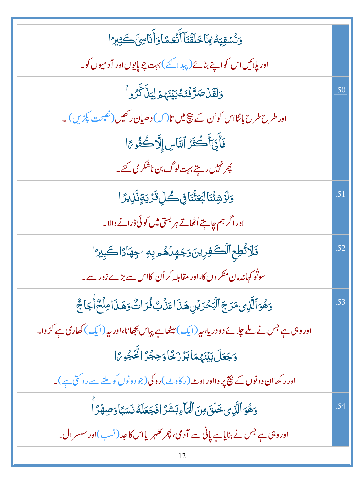| دَنُسْقِيَهُ لِمَّا خَلَقَّنَآ أَنَّعَمَّا وَأَنَاسِّ كَثِيرًا                                |     |
|-----------------------------------------------------------------------------------------------|-----|
| اور پلائیں اس کواپنے بنائے (پیدائے) بہت چوپایوں اور آدمیوں کو۔                                |     |
| <u>وَلَقَلۡ</u> صَرَّفۡنَكُ بَيۡنَهُمۡ لِيَنَّ كَّرُواۡ                                       | .50 |
| اور طرح طرح بانٹااس کواُن کے پیچ میں تا(کہ) دھیان رکھیں(نصیحت پکڑیں)۔                         |     |
| فَأَبَىٰٓأَكُمْرُ ٱلنَّاسِ إِلَّاكُمُّوَّا                                                    |     |
| پھر نہیں رہتے بہت لوگ بن ناشکر کی گئے۔                                                        |     |
| <b>وَلَوَشِئَّنَالْبَعَثَْنَافِى كُلِّ قَرَّيَةٍ</b> ثَّلِايرًا                               | .51 |
| اور اگر ہم چاہتے اُٹھاتے ہر بستی <b>می</b> ں کوئی ڈرانے والا۔                                 |     |
| <b>ذَلاتُطِع ٱلْكَفِرِينَ رَجَهِلُهُمْ بِهِ جِهَادًا كَبِيرًا</b>                             | .52 |
| سوتُو کہانہ مان منکر وں کا،اور مقابلہ کر اُن کااس سے بڑے زور سے۔                              |     |
| وَهُوَ ٱلَّذِى مَرَجَ ٱلۡبَحۡدَيۡنِ هَذَاعَذَٰبٌ فُدَاتٌ وَهَذَا مِلۡحٌ أَجَاجٌ               | .53 |
| اور وہی ہے جس نے ملے چلائے دو دریا، بیر(ایک) میٹھاہے پیاس بجھاتا،اور بیر(ایک) کھاری ہے کڑ وا۔ |     |
| <u>وَجَعَلَ بَيۡنَهُمَاٰبَرۡرَٰٓ خَاوَحِجۡرَاٰ مِّحۡوِمَ</u> ۤا                               |     |
| اور رکھاان دونوں کے نتیج پر دااور اوٹ (ر کاوٹ )روکی(جو دونوں کوبلنے سے روکتی ہے)۔             |     |
| وَهُوَ ٱلَّذِى خَلَقَ مِنَ ٱلۡمَآءِبَشَرَّ افَجَعَلَهُ نَسَبًاۚ وَصِهۡرَّ ا                   | .54 |
| اور وہی ہے جس نے بنایاہے پانی سے آدمی، پھر تھٰہر ایااس کا حد (نسب)اور سسر ال۔                 |     |
|                                                                                               |     |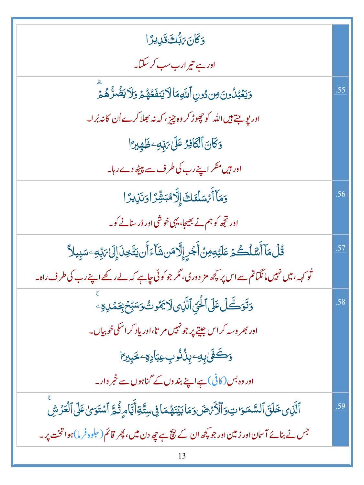| <u>و</u> كَانَ بَبُّك قَلِيدًا                                                                               |     |
|--------------------------------------------------------------------------------------------------------------|-----|
| اور ہے تیر ارب سب کر سکتا۔                                                                                   |     |
| وَيَعۡبُلُونَ مِن دُونِ ٱللَّهِمَالَايَنفَعُهُمۡ وَلَا يَضۡرُّهُمۡ                                           | .55 |
| اور یو جتے ہیں اللہ کو چھوڑ کر وہ چیز ، کہ نہ بھلا کرے اُن کانہ بُر ا۔                                       |     |
| وَكَانَ ٱلْكَافِرُ عَلَىٰ مَبِّدِ خَلْهِيرًا                                                                 |     |
| اور ہیں منکر اپنے رب کی طرف سے پیٹھ دےرہا۔                                                                   |     |
| وَمَآأَمُ سَلَّنَكَ إِلَّاهُبَشِّرَ اوَنَزِيرًا                                                              | .56 |
| اور تجھ کو ہم نے بھیجا، یہی خوشی اور ڈرسنانے کو۔                                                             |     |
| <i>ڐؙ</i> ڶٛڡؘٵٚٲٞۺؘڶٛٮڴؽٙ؏ڡؘڶؽٙٶؚ <i>ڽ</i> ۫ٲۧۼڔٟٳۭڐؚۜۜڡؘڹۺؘٲۦۧٲۜڹؾؾؿڹؘٳڸؘێ؉ؚڹۅۦڛڹؚؠڶٲ                      | .57 |
| تُو <sub>کہہ</sub> ، میں نہیں مانگناتم سے اس پر کچھ مز دوری، مگر جو کوئی چاہے کہ لے رکھے اپنے رب کی طرف راہ۔ |     |
| <u>و</u> َتَوَكَّلُ عَلَى ٱلْحَيِّ ٱلَّذِى لَا يَمُّوتُ وَسَبِّحْ بِحَمْدِهِ ۚ                               | .58 |
| اور بھر وسہ کر اس جیتے پر جو نہیں مر تا،اور یاد کر اسکی خوبیاں۔                                              |     |
| <u>وَكَفَىٰ بِهِ</u> ۦۑِنُۢنُوبِعِبَادِةِۦ خَبِيرًا                                                          |     |
| اور وہ بس (کافی) ہے اپنے بند وں کے گناہوں سے خمر دار۔                                                        |     |
| ٱلَّذِى خَلَقَ ٱلسَّمَوَاتِ وَٱلْأَمَّصَ وَمَابَيۡنَهُمَا فِىسِتَّةِأَيَّامِ ثُمَّ ٱسۡتَوَىٰعَلَى ٱلۡعَرۡشَ  | .59 |
| جس نے بنائے آسان اور زمین اور جو کچھ ان کے نتیج ہے چھ دن میں، پھر قائم(حلوہ فرما)ہو اتخت پر۔                 |     |
|                                                                                                              |     |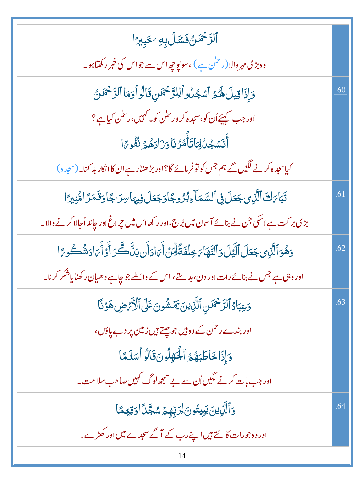| ٱلرَّحْمَنُ فَسَّلَ بِهِۦ خَبِيرًا                                                                         |     |
|------------------------------------------------------------------------------------------------------------|-----|
| وہ بڑی مہر والا (ر <sup>حمٰ</sup> ن ہے ) ،سو پوچھ اس سے جو اس کی خبر رکھتاہو۔                              |     |
| دَإِذَاقِيلَ لَهُمُ أَسْجُلُواْلِلزَّحْمَنِ قَالُواْ دَمَا ٱلزَّحْمَدُنُ                                   | .60 |
| اور جب <del>سمی</del> ئے اُن کو،سجد ہ کر ور حمٰن کو۔ کہیں،رحمٰن کیا ہے؟                                    |     |
| أَنَسْجُلُلِمَاتَأَمُّرُنَاوَزَادَهُمَّ نُفُوِّرًا                                                         |     |
| کیاسجدہ کرنے لگیں گے ہم جس کو تو فرمائے گا؟اور بڑھتارہے ان کاانکار بد کنا۔(سجدہ)                           |     |
| تَبَاىَكَ ٱلَّذِى جَعَلَ فِى ٱلسَّمَاءِبُرُوجًاوَجَعَلَ فِيهَاسِرَاجًا وَقَمَرًا مُّنِبِرًا                | .61 |
| بڑی بر کت ہے اسکی جن نے بنائے آسان میں بُر ج،اور رکھااس میں چراغ اور جاند اُجالا کرنے والا۔                |     |
| وَهُوَ ٱلَّذِى جَعَلَ ٱلَّيَلَ وَٱلنَّهَا يَخِلَفَةً لِّمَنۡ أَيَ ادَأَن يَنَّكَّ رَأَوۡ أَيَ ادَشُكُو يَا | .62 |
| اور وہی ہے جس نے بنائے رات اور دن، بدلتے ، اس کے واسطے جو چاہے دھیان رکھنا یاشکر کرنا۔                     |     |
| وَعِبَادُ ٱلرَّحْمَسِ ٱلَّذِينَ يَمَشُونَ عَلَى ٱلْأَرْضِ هَوَنَّا                                         | .63 |
| اور بندے ر <sup>حل</sup> ن کے وہ ہیں جو چلتے ہیں زمین پر دے یاؤں،                                          |     |
| دَإِذَا خَاطَبَهُمُ ٱلْجَهِلُونَ قَالُواْسَلَمَّا                                                          |     |
| اور جب بات کرنے لگیں اُن سے بے سمجھ لوگ کہیں صاحب سلامت۔                                                   |     |
| وَٱلَّٰٓنِينَ يَبِيتُونَ لِرَبِّهِمَ سُجَّدًا وَقِيَّمًا                                                   | .64 |
| اور وہ جو رات کا ٹیتے ہیں اپنے رب کے آگے سجدے میں اور کھڑے۔                                                |     |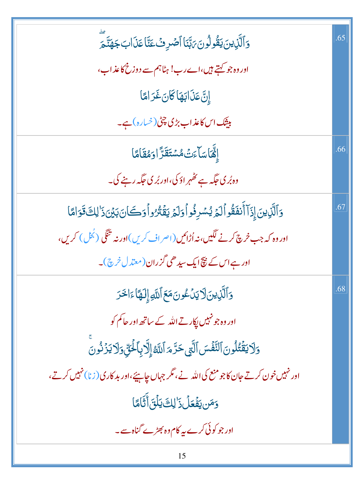| وَٱلَّذِينَ يَقُولُونَ رَبَّبَنَا ٱصۡرِفۡ عَنَّا عَذَابَ جَهَنَّحَ                                | .65 |
|---------------------------------------------------------------------------------------------------|-----|
| اور وہ جو کہتے ہیں،اے رب! ہٹاہم سے دوزخ کاعذاب،                                                   |     |
| إِنَّ عَذَابَهَا كَانَ غَرَامًا                                                                   |     |
| بیشک اس کاعذاب بڑی چٹی (خسارہ) ہے۔                                                                |     |
| إِنَّهَاسَاًءَتْ مُسَّتَقَرَّ ادَمُقَامَّا                                                        | .66 |
| وہ بُر کی جگہ ہے تھُہر اؤ کی،اور بُر کی جگہ رہنے کی۔                                              |     |
| دَالَّذِينَ إِذَآ أَنفَقُواۡ لَمَ يُسۡدِفُواۡ دَلَمَ يَقۡنُرُواۡ دَكَانَ بَيۡنَ ذَٰ لِكَ قَوَامًا | .67 |
| اور وہ کہ جب خرچ کرنے لگیں،نہ اُڑائیں (اصر اف کریں)اور نہ تنگی (بُحُل) کریں،                      |     |
| اور ہے اس کے پیچ ایک سیدھی گزران(معتدل خرچ)۔                                                      |     |
| <u>وَ</u> ٱلَّذِينَ[لَيْدَعُونَ مَعَ ٱللَّهِ إِلَهًا ءَالْحَرَ                                    | .68 |
| اور وہ جو نہیں پکارتے اللہ کے ساتھ اور حاکم کو                                                    |     |
| <u>و</u> َلَا يَقۡتُلُونَ ٱلنَّفۡسَ ٱلَّتِى حَرَّمَ ٱللَّهُۚ إِلَّا بِٱلۡـَٰٓئِّ وَلَا يَزۡنُونَ  |     |
| اور نہیں خون کرتے جان کاجو منع کی اللہ نے، مگر جہاں چاہیئے،اور بد کاری (زنا) نہیں کرتے،           |     |
| وَمَن يَفۡعَلۡ ذَٰ لِكَ يَلۡقَ أَثَامَٓا                                                          |     |
| اور جو کوئی کرے پہ کام وہ بھڑے گناہ سے۔                                                           |     |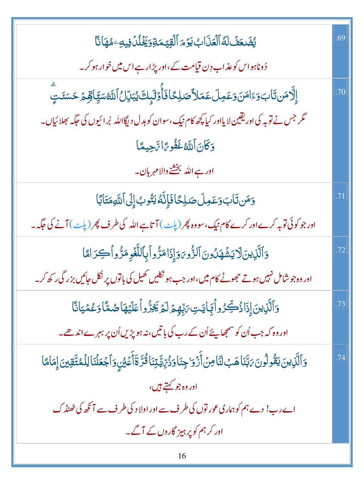| يُضَعَفُ لَهُ الْعَذَابُ يَوْمَ الْقِيَمَةِوَيَخْلُدُ فِيهِ مُهَانَا                                                                     | .69 |
|------------------------------------------------------------------------------------------------------------------------------------------|-----|
| ڈوناہواس کو عذاب دِن قیامت کے،اور پڑار ہے اس میں خوار ہو کر۔                                                                             |     |
| ٳۣڵؖۯۃڹؾؘاب <sub>ؘ</sub> وٙٵڡٙڹؘۅػڡؚڶ؏ؘڡؘڶڴڝؘڸػٵڡؘٲؙٚٷڶ <sub>ڮ</sub> ٟڮ <sub>ڵ</sub> ڵٲڷڷۊڛؘڲٟٳڨؚۏ <sub>ڴ</sub> ڝؘێؾٟۜ                   | .70 |
| گر جس نے تو بہ کی اور یقین لا یااور کیا کچھ کام نیک،سوان کو بدل دیگااللہ بُرائیوں کی حَکِّہ بھلائیاں۔                                    |     |
| دَكَانَ أَللَّهُ غَفُوحًا تَجِيعًا                                                                                                       |     |
| اور ہے اللہ بخشنے والامہرب <mark>ا</mark> ن۔                                                                                             |     |
| وَمَن تَابَ وَعَمِلَ صَلِحًا فَإِنَّهُ يَتُوبُ إِلَى ٱللَّهِمَتَابَا                                                                     | .71 |
| اور جو کوئی توبہ کرے اور کرے کام نیک، سو وہ پھر (پلٹ) آتا ہے اللہ کی طرف پھر (پلٹ) آنے کی جگہ ۔                                          |     |
| 5ٱلَّذِينَلَا يَشۡهَدُونَ ٱلزُّويَوَإِذَامَرُّواۡبِٱللَّغۡوِمَرُّواۡكِرَامَّا                                                            | .72 |
| اور وہ جو شامل نہیں ہوتے جھوٹے کام میں،اور جب ہو نکلیں کھیل کی باتوں پر نکل جائیں بزر گی رکھ کر۔                                         |     |
| <u>و</u> َٱلَّذِينَ إِذَاذُكِّرُواۡئِمَايَـٰتِ،ٓتِبِّهِمۡ لَمۡ یَخِرُّواۡ عَلَیۡهَاضُمَّاۤ وَعُمۡیَانَّا                                 | .73 |
| اور وہ کہ جب اُن کو سمجھا ہئے اُن کے رب کی باتیں، نہ ہو پڑیں اُن پر بہرے اندھے۔                                                          |     |
| <u>و</u> َٱلَّذِينَ يَقُولُونَ بَهَّنَاهَبُ لَنَاصِنَ أَزْوَاجِنَاوَذُرِّيَّةِيَنَاقُرَّ ةَأَعَيْنِ وَٱجْعَلْنَا لِلْمُتَّقِينَ إِمَامًا | .74 |
| ادر ده جو <u>کهتے</u> ہیں،                                                                                                               |     |
| اے رب! دے ہم کو ہماری عور توں کی طرف سے اور اولا د کی طرف سے آنکھ کی ٹھنڈ ک                                                              |     |
| اور کر ہم کو پر ہیز گاروں کے آگے۔                                                                                                        |     |
| 16                                                                                                                                       |     |